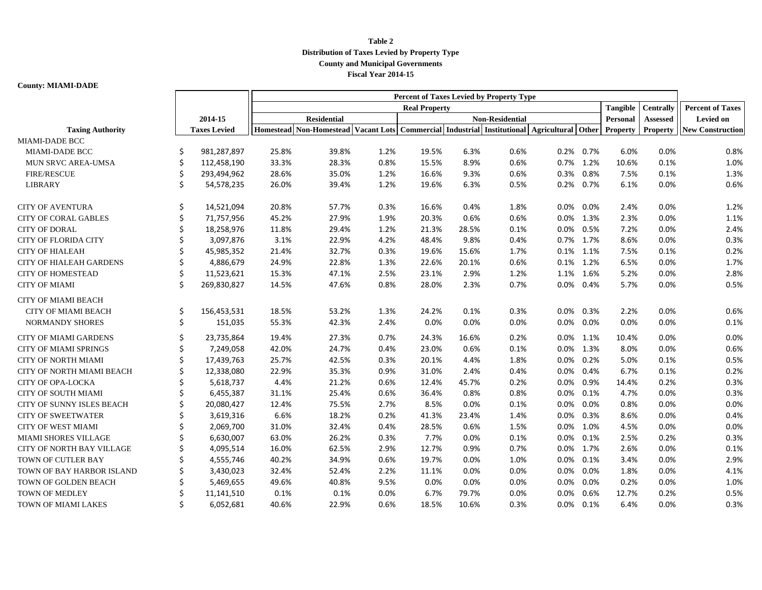## **Table 2 Distribution of Taxes Levied by Property Type County and Municipal Governments Fiscal Year 2014-15**

## **County: MIAMI-DADE**

|                                |    |                     | Percent of Taxes Levied by Property Type |                                     |      |       |       |                                                        |          |              |                  |                         |                         |
|--------------------------------|----|---------------------|------------------------------------------|-------------------------------------|------|-------|-------|--------------------------------------------------------|----------|--------------|------------------|-------------------------|-------------------------|
|                                |    |                     | <b>Real Property</b>                     |                                     |      |       |       |                                                        |          | Tangible     | <b>Centrally</b> | <b>Percent of Taxes</b> |                         |
|                                |    | 2014-15             | <b>Residential</b>                       |                                     |      |       |       |                                                        | Personal | Assessed     | <b>Levied on</b> |                         |                         |
| <b>Taxing Authority</b>        |    | <b>Taxes Levied</b> |                                          | Homestead Non-Homestead Vacant Lots |      |       |       | Commercial Industrial Institutional Agricultural Other |          |              | Property         | <b>Property</b>         | <b>New Construction</b> |
| <b>MIAMI-DADE BCC</b>          |    |                     |                                          |                                     |      |       |       |                                                        |          |              |                  |                         |                         |
| MIAMI-DADE BCC                 | Ś  | 981,287,897         | 25.8%                                    | 39.8%                               | 1.2% | 19.5% | 6.3%  | 0.6%                                                   |          | 0.2% 0.7%    | 6.0%             | 0.0%                    | 0.8%                    |
| MUN SRVC AREA-UMSA             | Ś. | 112,458,190         | 33.3%                                    | 28.3%                               | 0.8% | 15.5% | 8.9%  | 0.6%                                                   |          | 0.7% 1.2%    | 10.6%            | 0.1%                    | 1.0%                    |
| <b>FIRE/RESCUE</b>             | Ś  | 293,494,962         | 28.6%                                    | 35.0%                               | 1.2% | 16.6% | 9.3%  | 0.6%                                                   | 0.3%     | 0.8%         | 7.5%             | 0.1%                    | 1.3%                    |
| <b>LIBRARY</b>                 | Ś. | 54,578,235          | 26.0%                                    | 39.4%                               | 1.2% | 19.6% | 6.3%  | 0.5%                                                   | 0.2%     | 0.7%         | 6.1%             | 0.0%                    | 0.6%                    |
| <b>CITY OF AVENTURA</b>        | \$ | 14,521,094          | 20.8%                                    | 57.7%                               | 0.3% | 16.6% | 0.4%  | 1.8%                                                   | 0.0%     | 0.0%         | 2.4%             | 0.0%                    | 1.2%                    |
| <b>CITY OF CORAL GABLES</b>    | \$ | 71,757,956          | 45.2%                                    | 27.9%                               | 1.9% | 20.3% | 0.6%  | 0.6%                                                   |          | 0.0% 1.3%    | 2.3%             | 0.0%                    | 1.1%                    |
| <b>CITY OF DORAL</b>           |    | 18,258,976          | 11.8%                                    | 29.4%                               | 1.2% | 21.3% | 28.5% | 0.1%                                                   | $0.0\%$  | 0.5%         | 7.2%             | 0.0%                    | 2.4%                    |
| <b>CITY OF FLORIDA CITY</b>    |    | 3,097,876           | 3.1%                                     | 22.9%                               | 4.2% | 48.4% | 9.8%  | 0.4%                                                   |          | 0.7% 1.7%    | 8.6%             | 0.0%                    | 0.3%                    |
| <b>CITY OF HIALEAH</b>         |    | 45,985,352          | 21.4%                                    | 32.7%                               | 0.3% | 19.6% | 15.6% | 1.7%                                                   |          | 0.1% 1.1%    | 7.5%             | 0.1%                    | 0.2%                    |
| <b>CITY OF HIALEAH GARDENS</b> | Ś. | 4,886,679           | 24.9%                                    | 22.8%                               | 1.3% | 22.6% | 20.1% | 0.6%                                                   |          | 0.1% 1.2%    | 6.5%             | 0.0%                    | 1.7%                    |
| <b>CITY OF HOMESTEAD</b>       | Ś  | 11,523,621          | 15.3%                                    | 47.1%                               | 2.5% | 23.1% | 2.9%  | 1.2%                                                   | 1.1%     | 1.6%         | 5.2%             | 0.0%                    | 2.8%                    |
| <b>CITY OF MIAMI</b>           | \$ | 269,830,827         | 14.5%                                    | 47.6%                               | 0.8% | 28.0% | 2.3%  | 0.7%                                                   | 0.0%     | 0.4%         | 5.7%             | 0.0%                    | 0.5%                    |
| <b>CITY OF MIAMI BEACH</b>     |    |                     |                                          |                                     |      |       |       |                                                        |          |              |                  |                         |                         |
| <b>CITY OF MIAMI BEACH</b>     | Ś  | 156,453,531         | 18.5%                                    | 53.2%                               | 1.3% | 24.2% | 0.1%  | 0.3%                                                   |          | $0.0\%$ 0.3% | 2.2%             | 0.0%                    | 0.6%                    |
| <b>NORMANDY SHORES</b>         | Ś. | 151,035             | 55.3%                                    | 42.3%                               | 2.4% | 0.0%  | 0.0%  | 0.0%                                                   | $0.0\%$  | 0.0%         | 0.0%             | 0.0%                    | 0.1%                    |
| <b>CITY OF MIAMI GARDENS</b>   | Ś  | 23,735,864          | 19.4%                                    | 27.3%                               | 0.7% | 24.3% | 16.6% | 0.2%                                                   |          | 0.0% 1.1%    | 10.4%            | 0.0%                    | 0.0%                    |
| CITY OF MIAMI SPRINGS          | Ś. | 7,249,058           | 42.0%                                    | 24.7%                               | 0.4% | 23.0% | 0.6%  | 0.1%                                                   |          | 0.0% 1.3%    | 8.0%             | 0.0%                    | 0.6%                    |
| <b>CITY OF NORTH MIAMI</b>     | Ś. | 17,439,763          | 25.7%                                    | 42.5%                               | 0.3% | 20.1% | 4.4%  | 1.8%                                                   | $0.0\%$  | 0.2%         | 5.0%             | 0.1%                    | 0.5%                    |
| CITY OF NORTH MIAMI BEACH      | Ś  | 12,338,080          | 22.9%                                    | 35.3%                               | 0.9% | 31.0% | 2.4%  | 0.4%                                                   | $0.0\%$  | 0.4%         | 6.7%             | 0.1%                    | 0.2%                    |
| <b>CITY OF OPA-LOCKA</b>       | Ś  | 5,618,737           | 4.4%                                     | 21.2%                               | 0.6% | 12.4% | 45.7% | 0.2%                                                   | $0.0\%$  | 0.9%         | 14.4%            | 0.2%                    | 0.3%                    |
| <b>CITY OF SOUTH MIAMI</b>     | Ś  | 6,455,387           | 31.1%                                    | 25.4%                               | 0.6% | 36.4% | 0.8%  | 0.8%                                                   | $0.0\%$  | 0.1%         | 4.7%             | 0.0%                    | 0.3%                    |
| CITY OF SUNNY ISLES BEACH      | \$ | 20,080,427          | 12.4%                                    | 75.5%                               | 2.7% | 8.5%  | 0.0%  | 0.1%                                                   | $0.0\%$  | 0.0%         | 0.8%             | 0.0%                    | 0.0%                    |
| <b>CITY OF SWEETWATER</b>      |    | 3,619,316           | 6.6%                                     | 18.2%                               | 0.2% | 41.3% | 23.4% | 1.4%                                                   | 0.0%     | 0.3%         | 8.6%             | 0.0%                    | 0.4%                    |
| <b>CITY OF WEST MIAMI</b>      |    | 2,069,700           | 31.0%                                    | 32.4%                               | 0.4% | 28.5% | 0.6%  | 1.5%                                                   | $0.0\%$  | 1.0%         | 4.5%             | 0.0%                    | 0.0%                    |
| <b>MIAMI SHORES VILLAGE</b>    |    | 6,630,007           | 63.0%                                    | 26.2%                               | 0.3% | 7.7%  | 0.0%  | 0.1%                                                   | $0.0\%$  | 0.1%         | 2.5%             | 0.2%                    | 0.3%                    |
| CITY OF NORTH BAY VILLAGE      |    | 4,095,514           | 16.0%                                    | 62.5%                               | 2.9% | 12.7% | 0.9%  | 0.7%                                                   |          | 0.0% 1.7%    | 2.6%             | 0.0%                    | 0.1%                    |
| TOWN OF CUTLER BAY             |    | 4,555,746           | 40.2%                                    | 34.9%                               | 0.6% | 19.7% | 0.0%  | 1.0%                                                   | $0.0\%$  | 0.1%         | 3.4%             | 0.0%                    | 2.9%                    |
| TOWN OF BAY HARBOR ISLAND      |    | 3,430,023           | 32.4%                                    | 52.4%                               | 2.2% | 11.1% | 0.0%  | 0.0%                                                   | $0.0\%$  | 0.0%         | 1.8%             | 0.0%                    | 4.1%                    |
| TOWN OF GOLDEN BEACH           | Ś  | 5,469,655           | 49.6%                                    | 40.8%                               | 9.5% | 0.0%  | 0.0%  | 0.0%                                                   | $0.0\%$  | 0.0%         | 0.2%             | 0.0%                    | 1.0%                    |
| <b>TOWN OF MEDLEY</b>          | Ś. | 11,141,510          | 0.1%                                     | 0.1%                                | 0.0% | 6.7%  | 79.7% | 0.0%                                                   | 0.0%     | 0.6%         | 12.7%            | 0.2%                    | 0.5%                    |
| TOWN OF MIAMI LAKES            | Ś. | 6,052,681           | 40.6%                                    | 22.9%                               | 0.6% | 18.5% | 10.6% | 0.3%                                                   |          | 0.0% 0.1%    | 6.4%             | 0.0%                    | 0.3%                    |